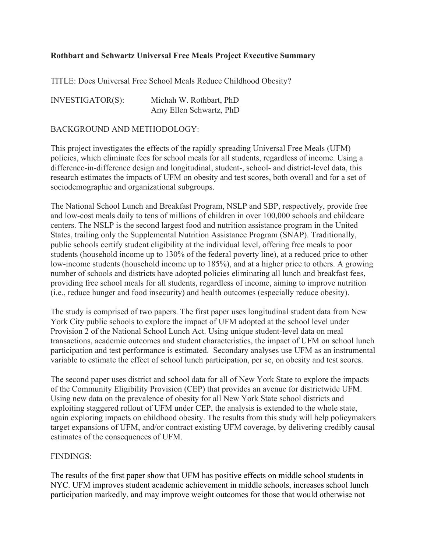## **Rothbart and Schwartz Universal Free Meals Project Executive Summary**

TITLE: Does Universal Free School Meals Reduce Childhood Obesity?

| INVESTIGATOR(S): | Michah W. Rothbart, PhD |
|------------------|-------------------------|
|                  | Amy Ellen Schwartz, PhD |

## BACKGROUND AND METHODOLOGY:

This project investigates the effects of the rapidly spreading Universal Free Meals (UFM) policies, which eliminate fees for school meals for all students, regardless of income. Using a difference-in-difference design and longitudinal, student-, school- and district-level data, this research estimates the impacts of UFM on obesity and test scores, both overall and for a set of sociodemographic and organizational subgroups.

The National School Lunch and Breakfast Program, NSLP and SBP, respectively, provide free and low-cost meals daily to tens of millions of children in over 100,000 schools and childcare centers. The NSLP is the second largest food and nutrition assistance program in the United States, trailing only the Supplemental Nutrition Assistance Program (SNAP). Traditionally, public schools certify student eligibility at the individual level, offering free meals to poor students (household income up to 130% of the federal poverty line), at a reduced price to other low-income students (household income up to 185%), and at a higher price to others. A growing number of schools and districts have adopted policies eliminating all lunch and breakfast fees, providing free school meals for all students, regardless of income, aiming to improve nutrition (i.e., reduce hunger and food insecurity) and health outcomes (especially reduce obesity).

The study is comprised of two papers. The first paper uses longitudinal student data from New York City public schools to explore the impact of UFM adopted at the school level under Provision 2 of the National School Lunch Act. Using unique student-level data on meal transactions, academic outcomes and student characteristics, the impact of UFM on school lunch participation and test performance is estimated. Secondary analyses use UFM as an instrumental variable to estimate the effect of school lunch participation, per se, on obesity and test scores.

The second paper uses district and school data for all of New York State to explore the impacts of the Community Eligibility Provision (CEP) that provides an avenue for districtwide UFM. Using new data on the prevalence of obesity for all New York State school districts and exploiting staggered rollout of UFM under CEP, the analysis is extended to the whole state, again exploring impacts on childhood obesity. The results from this study will help policymakers target expansions of UFM, and/or contract existing UFM coverage, by delivering credibly causal estimates of the consequences of UFM.

## FINDINGS:

The results of the first paper show that UFM has positive effects on middle school students in NYC. UFM improves student academic achievement in middle schools, increases school lunch participation markedly, and may improve weight outcomes for those that would otherwise not